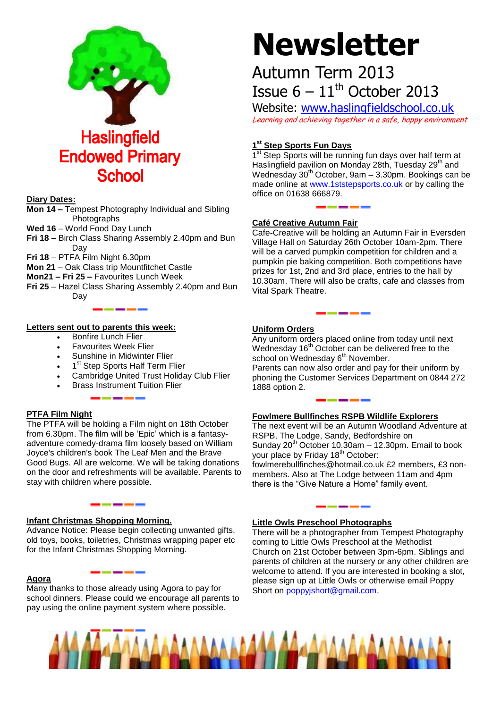

## **Diary Dates:**

- **Mon 14 –** Tempest Photography Individual and Sibling **Photographs**
- Wed 16 World Food Day Lunch
- **Fri 18**  Birch Class Sharing Assembly 2.40pm and Bun Day
- **Fri 18**  PTFA Film Night 6.30pm
- **Mon 21**  Oak Class trip Mountfitchet Castle
- **Mon21 – Fri 25 –** Favourites Lunch Week
- **Fri 25**  Hazel Class Sharing Assembly 2.40pm and Bun Day

# **Letters sent out to parents this week:**

- Bonfire Lunch Flier
- Favourites Week Flier
- Sunshine in Midwinter Flier
- 1<sup>st</sup> Step Sports Half Term Flier
- Cambridge United Trust Holiday Club Flier
- Brass Instrument Tuition Flier

#### **PTFA Film Night**

The PTFA will be holding a Film night on 18th October from 6.30pm. The film will be 'Epic' which is a fantasyadventure comedy-drama film loosely based on William Joyce's children's book The Leaf Men and the Brave Good Bugs. All are welcome. We will be taking donations on the door and refreshments will be available. Parents to stay with children where possible.

#### **Infant Christmas Shopping Morning.**

Advance Notice: Please begin collecting unwanted gifts, old toys, books, toiletries, Christmas wrapping paper etc for the Infant Christmas Shopping Morning.

#### **Agora**

Many thanks to those already using Agora to pay for school dinners. Please could we encourage all parents to pay using the online payment system where possible.

# **Newsletter**

# Autumn Term 2013 Issue  $6 - 11$ <sup>th</sup> October 2013

Website: [www.haslingfieldschool.co.uk](http://www.haslingfieldschool.co.uk/) Learning and achieving together in a safe, happy environment

# **1 st Step Sports Fun Days**

1<sup>st</sup> Step Sports will be running fun days over half term at Haslingfield pavilion on Monday 28th, Tuesday 29<sup>th</sup> and Wednesday 30<sup>th</sup> October, 9am – 3.30pm. Bookings can be made online at [www.1ststepsports.co.uk](http://www.1ststepsports.co.uk/) or by calling the office on 01638 666879.

## **Café Creative Autumn Fair**

Cafe-Creative will be holding an Autumn Fair in Eversden Village Hall on Saturday 26th October 10am-2pm. There will be a carved pumpkin competition for children and a pumpkin pie baking competition. Both competitions have prizes for 1st, 2nd and 3rd place, entries to the hall by 10.30am. There will also be crafts, cafe and classes from Vital Spark Theatre.

## **Uniform Orders**

Any uniform orders placed online from today until next Wednesday 16<sup>th</sup> October can be delivered free to the school on Wednesday 6<sup>th</sup> November.

Parents can now also order and pay for their uniform by phoning the Customer Services Department on 0844 272 1888 option 2.

# **Fowlmere Bullfinches RSPB Wildlife Explorers**

The next event will be an Autumn Woodland Adventure at RSPB, The Lodge, Sandy, Bedfordshire on Sunday  $20^{th}$  October 10.30am  $-$  12.30pm. Email to book your place by Friday 18<sup>th</sup> October: fowlmerebullfinches@hotmail.co.uk £2 members, £3 nonmembers. Also at The Lodge between 11am and 4pm there is the "Give Nature a Home" family event.

#### **Little Owls Preschool Photographs**

There will be a photographer from Tempest Photography coming to Little Owls Preschool at the Methodist Church on 21st October between 3pm-6pm. Siblings and parents of children at the nursery or any other children are welcome to attend. If you are interested in booking a slot, please sign up at Little Owls or otherwise email Poppy Short on [poppyjshort@gmail.com.](mailto:poppyjshort@gmail.com)